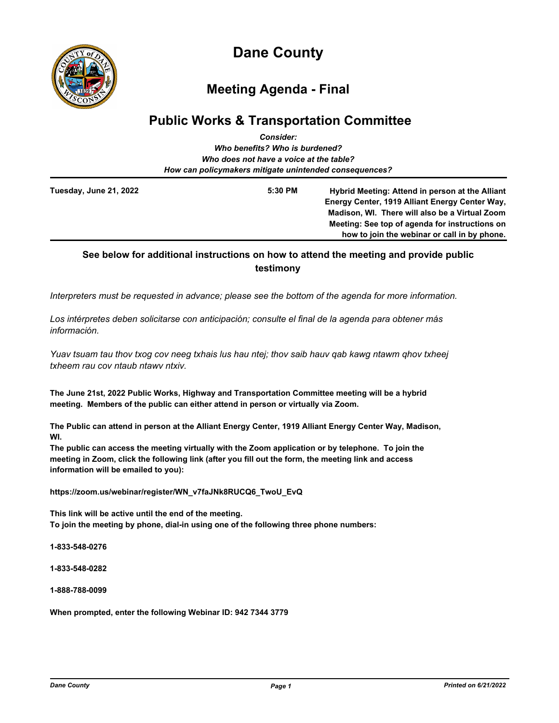

# **Dane County**

## **Meeting Agenda - Final**

## **Public Works & Transportation Committee** *Consider:*

|                                | CUISIUCI.                                              |                                                                                                   |  |  |  |  |
|--------------------------------|--------------------------------------------------------|---------------------------------------------------------------------------------------------------|--|--|--|--|
| Who benefits? Who is burdened? |                                                        |                                                                                                   |  |  |  |  |
|                                | Who does not have a voice at the table?                |                                                                                                   |  |  |  |  |
|                                | How can policymakers mitigate unintended consequences? |                                                                                                   |  |  |  |  |
| Tuesday, June 21, 2022         | 5:30 PM                                                | Hybrid Meeting: Attend in person at the Alliant<br>Energy Center, 1919 Alliant Energy Center Way, |  |  |  |  |
|                                |                                                        | Madison, WI. There will also be a Virtual Zoom                                                    |  |  |  |  |
|                                |                                                        | Meeting: See top of agenda for instructions on                                                    |  |  |  |  |
|                                |                                                        | how to join the webinar or call in by phone.                                                      |  |  |  |  |

## **See below for additional instructions on how to attend the meeting and provide public testimony**

*Interpreters must be requested in advance; please see the bottom of the agenda for more information.*

*Los intérpretes deben solicitarse con anticipación; consulte el final de la agenda para obtener más información.*

*Yuav tsuam tau thov txog cov neeg txhais lus hau ntej; thov saib hauv qab kawg ntawm qhov txheej txheem rau cov ntaub ntawv ntxiv.*

**The June 21st, 2022 Public Works, Highway and Transportation Committee meeting will be a hybrid meeting. Members of the public can either attend in person or virtually via Zoom.**

**The Public can attend in person at the Alliant Energy Center, 1919 Alliant Energy Center Way, Madison, WI.** 

**The public can access the meeting virtually with the Zoom application or by telephone. To join the meeting in Zoom, click the following link (after you fill out the form, the meeting link and access information will be emailed to you):** 

**https://zoom.us/webinar/register/WN\_v7faJNk8RUCQ6\_TwoU\_EvQ**

**This link will be active until the end of the meeting. To join the meeting by phone, dial-in using one of the following three phone numbers:**

**1-833-548-0276**

**1-833-548-0282**

**1-888-788-0099**

**When prompted, enter the following Webinar ID: 942 7344 3779**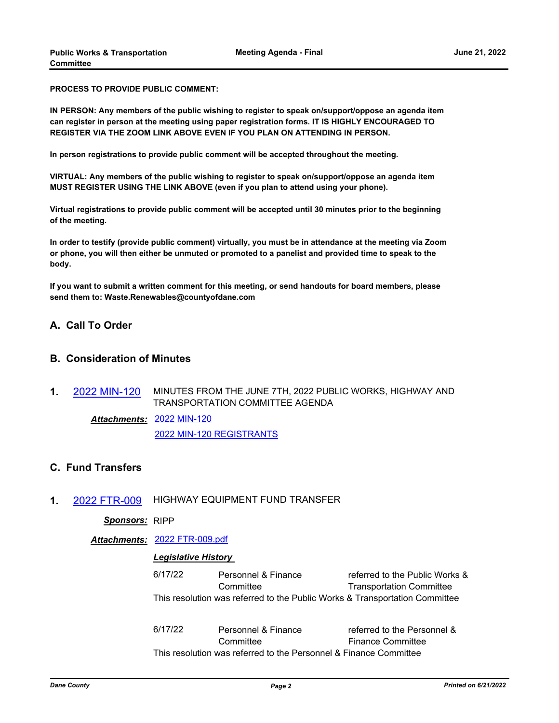**PROCESS TO PROVIDE PUBLIC COMMENT:** 

**IN PERSON: Any members of the public wishing to register to speak on/support/oppose an agenda item can register in person at the meeting using paper registration forms. IT IS HIGHLY ENCOURAGED TO REGISTER VIA THE ZOOM LINK ABOVE EVEN IF YOU PLAN ON ATTENDING IN PERSON.** 

**In person registrations to provide public comment will be accepted throughout the meeting.**

**VIRTUAL: Any members of the public wishing to register to speak on/support/oppose an agenda item MUST REGISTER USING THE LINK ABOVE (even if you plan to attend using your phone).**

**Virtual registrations to provide public comment will be accepted until 30 minutes prior to the beginning of the meeting.**

**In order to testify (provide public comment) virtually, you must be in attendance at the meeting via Zoom or phone, you will then either be unmuted or promoted to a panelist and provided time to speak to the body.**

**If you want to submit a written comment for this meeting, or send handouts for board members, please send them to: Waste.Renewables@countyofdane.com**

#### **A. Call To Order**

## **B. Consideration of Minutes**

**1.** [2022 MIN-120](http://dane.legistar.com/gateway.aspx?m=l&id=/matter.aspx?key=23098) MINUTES FROM THE JUNE 7TH, 2022 PUBLIC WORKS, HIGHWAY AND TRANSPORTATION COMMITTEE AGENDA

[2022 MIN-120](http://dane.legistar.com/gateway.aspx?M=F&ID=caaecb3c-2a7f-4b79-9419-f040d5feb905.pdf) *Attachments:* [2022 MIN-120 REGISTRANTS](http://dane.legistar.com/gateway.aspx?M=F&ID=c410ffd4-a5aa-4407-a218-343a5baa3e98.pdf)

## **C. Fund Transfers**

**1.** [2022 FTR-009](http://dane.legistar.com/gateway.aspx?m=l&id=/matter.aspx?key=23090) HIGHWAY EQUIPMENT FUND TRANSFER

#### *Sponsors:* RIPP

*Attachments:* [2022 FTR-009.pdf](http://dane.legistar.com/gateway.aspx?M=F&ID=11841f6b-c96d-499e-9430-bf1b6a702b5d.pdf)

#### *Legislative History*

| 6/17/22 | Personnel & Finance | referred to the Public Works &                                              |
|---------|---------------------|-----------------------------------------------------------------------------|
|         | Committee           | <b>Transportation Committee</b>                                             |
|         |                     | This resolution was referred to the Public Works & Transportation Committee |

6/17/22 Personnel & Finance **Committee** referred to the Personnel & Finance Committee This resolution was referred to the Personnel & Finance Committee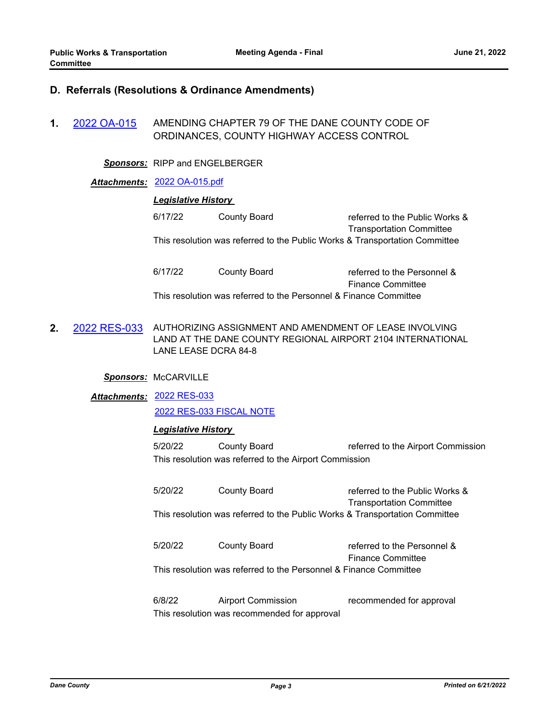### **D. Referrals (Resolutions & Ordinance Amendments)**

**1.** [2022 OA-015](http://dane.legistar.com/gateway.aspx?m=l&id=/matter.aspx?key=23045) AMENDING CHAPTER 79 OF THE DANE COUNTY CODE OF ORDINANCES, COUNTY HIGHWAY ACCESS CONTROL

*Sponsors:* RIPP and ENGELBERGER

#### *Attachments:* [2022 OA-015.pdf](http://dane.legistar.com/gateway.aspx?M=F&ID=668d714f-e88a-4c65-8c46-e7baf049f3a1.pdf)

### *Legislative History*

6/17/22 County Board referred to the Public Works & Transportation Committee This resolution was referred to the Public Works & Transportation Committee

6/17/22 County Board referred to the Personnel & Finance Committee This resolution was referred to the Personnel & Finance Committee

**2.** [2022 RES-033](http://dane.legistar.com/gateway.aspx?m=l&id=/matter.aspx?key=22878) AUTHORIZING ASSIGNMENT AND AMENDMENT OF LEASE INVOLVING LAND AT THE DANE COUNTY REGIONAL AIRPORT 2104 INTERNATIONAL LANE LEASE DCRA 84-8

#### *Sponsors:* McCARVILLE

## [2022 RES-033](http://dane.legistar.com/gateway.aspx?M=F&ID=7c8d9eb6-17bf-42d5-a265-0802133bbc4c.pdf) *Attachments:*

[2022 RES-033 FISCAL NOTE](http://dane.legistar.com/gateway.aspx?M=F&ID=ceae8603-f485-4e82-8dc9-cfa4556da217.pdf)

#### *Legislative History*

5/20/22 County Board referred to the Airport Commission This resolution was referred to the Airport Commission

5/20/22 County Board referred to the Public Works & Transportation Committee This resolution was referred to the Public Works & Transportation Committee

5/20/22 County Board referred to the Personnel & Finance Committee This resolution was referred to the Personnel & Finance Committee

6/8/22 Airport Commission recommended for approval This resolution was recommended for approval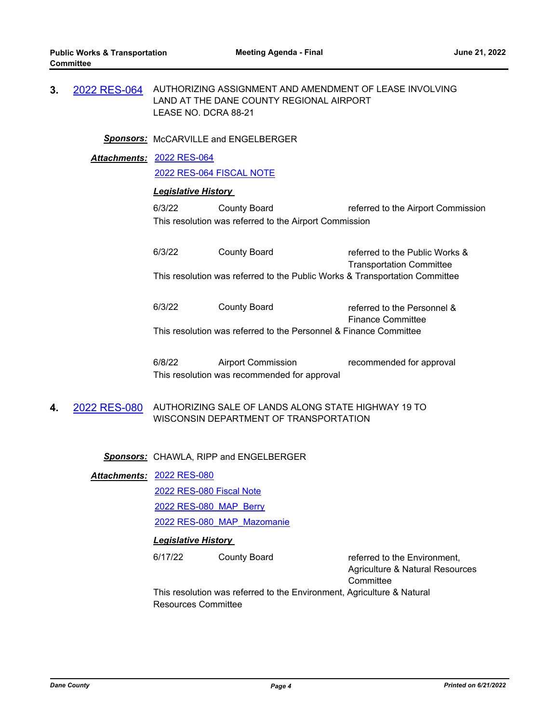**3.** [2022 RES-064](http://dane.legistar.com/gateway.aspx?m=l&id=/matter.aspx?key=22995) AUTHORIZING ASSIGNMENT AND AMENDMENT OF LEASE INVOLVING LAND AT THE DANE COUNTY REGIONAL AIRPORT LEASE NO. DCRA 88-21

*Sponsors:* McCARVILLE and ENGELBERGER

[2022 RES-064](http://dane.legistar.com/gateway.aspx?M=F&ID=77e81ebc-38ee-444f-a5cc-a0e1f617762d.pdf) *Attachments:* [2022 RES-064 FISCAL NOTE](http://dane.legistar.com/gateway.aspx?M=F&ID=db34d637-aa52-45ba-96c8-2edc218986d3.pdf)

## *Legislative History*

6/3/22 County Board referred to the Airport Commission This resolution was referred to the Airport Commission

6/3/22 County Board referred to the Public Works & Transportation Committee This resolution was referred to the Public Works & Transportation Committee

6/3/22 County Board referred to the Personnel & Finance Committee This resolution was referred to the Personnel & Finance Committee

6/8/22 Airport Commission recommended for approval This resolution was recommended for approval

**4.** [2022 RES-080](http://dane.legistar.com/gateway.aspx?m=l&id=/matter.aspx?key=23087) AUTHORIZING SALE OF LANDS ALONG STATE HIGHWAY 19 TO WISCONSIN DEPARTMENT OF TRANSPORTATION

*Sponsors:* CHAWLA, RIPP and ENGELBERGER

#### [2022 RES-080](http://dane.legistar.com/gateway.aspx?M=F&ID=f1a9d8c6-2b6a-4a9b-800f-35f2f19c2877.pdf) *Attachments:*

[2022 RES-080 Fiscal Note](http://dane.legistar.com/gateway.aspx?M=F&ID=9120691f-19e4-483b-a09c-3a3610b43c0b.pdf)

[2022 RES-080\\_MAP\\_Berry](http://dane.legistar.com/gateway.aspx?M=F&ID=3bf7e323-5809-49b5-aafe-1001f687deaf.pdf)

[2022 RES-080\\_MAP\\_Mazomanie](http://dane.legistar.com/gateway.aspx?M=F&ID=d34c5273-ff5e-4c74-b696-041de942f92d.pdf)

#### *Legislative History*

6/17/22 County Board referred to the Environment, Agriculture & Natural Resources **Committee** 

This resolution was referred to the Environment, Agriculture & Natural Resources Committee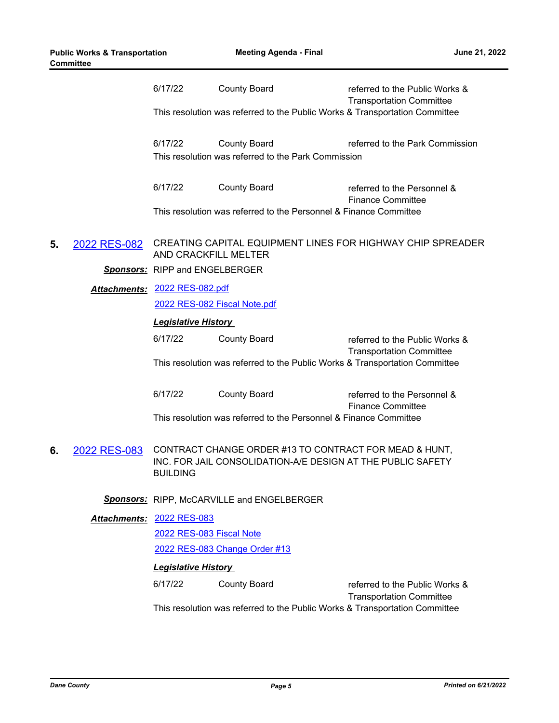|    |              | 6/17/22                                                                                                                                  | <b>County Board</b>                                               | referred to the Public Works &<br><b>Transportation Committee</b> |  |  |
|----|--------------|------------------------------------------------------------------------------------------------------------------------------------------|-------------------------------------------------------------------|-------------------------------------------------------------------|--|--|
|    |              | This resolution was referred to the Public Works & Transportation Committee                                                              |                                                                   |                                                                   |  |  |
|    |              | 6/17/22<br><b>County Board</b><br>This resolution was referred to the Park Commission                                                    |                                                                   | referred to the Park Commission                                   |  |  |
|    |              | 6/17/22                                                                                                                                  | <b>County Board</b>                                               | referred to the Personnel &<br><b>Finance Committee</b>           |  |  |
|    |              | This resolution was referred to the Personnel & Finance Committee                                                                        |                                                                   |                                                                   |  |  |
| 5. | 2022 RES-082 | CREATING CAPITAL EQUIPMENT LINES FOR HIGHWAY CHIP SPREADER<br>AND CRACKFILL MELTER                                                       |                                                                   |                                                                   |  |  |
|    |              | <b>Sponsors:</b> RIPP and ENGELBERGER                                                                                                    |                                                                   |                                                                   |  |  |
|    |              | Attachments: 2022 RES-082.pdf                                                                                                            |                                                                   |                                                                   |  |  |
|    |              |                                                                                                                                          | 2022 RES-082 Fiscal Note.pdf                                      |                                                                   |  |  |
|    |              | <b>Legislative History</b>                                                                                                               |                                                                   |                                                                   |  |  |
|    |              | 6/17/22                                                                                                                                  | <b>County Board</b>                                               | referred to the Public Works &<br><b>Transportation Committee</b> |  |  |
|    |              | This resolution was referred to the Public Works & Transportation Committee                                                              |                                                                   |                                                                   |  |  |
|    |              | 6/17/22                                                                                                                                  | <b>County Board</b>                                               | referred to the Personnel &<br><b>Finance Committee</b>           |  |  |
|    |              |                                                                                                                                          | This resolution was referred to the Personnel & Finance Committee |                                                                   |  |  |
| 6. | 2022 RES-083 | CONTRACT CHANGE ORDER #13 TO CONTRACT FOR MEAD & HUNT,<br>INC. FOR JAIL CONSOLIDATION-A/E DESIGN AT THE PUBLIC SAFETY<br><b>BUILDING</b> |                                                                   |                                                                   |  |  |
|    |              | <b>Sponsors:</b> RIPP, McCARVILLE and ENGELBERGER                                                                                        |                                                                   |                                                                   |  |  |
|    |              | Attachments: 2022 RES-083                                                                                                                |                                                                   |                                                                   |  |  |
|    |              | 2022 RES-083 Fiscal Note                                                                                                                 |                                                                   |                                                                   |  |  |
|    |              | 2022 RES-083 Change Order #13                                                                                                            |                                                                   |                                                                   |  |  |
|    |              | <b>Legislative History</b>                                                                                                               |                                                                   |                                                                   |  |  |
|    |              | 6/17/22                                                                                                                                  | <b>County Board</b>                                               | referred to the Public Works &<br><b>Transportation Committee</b> |  |  |
|    |              | This resolution was referred to the Public Works & Transportation Committee                                                              |                                                                   |                                                                   |  |  |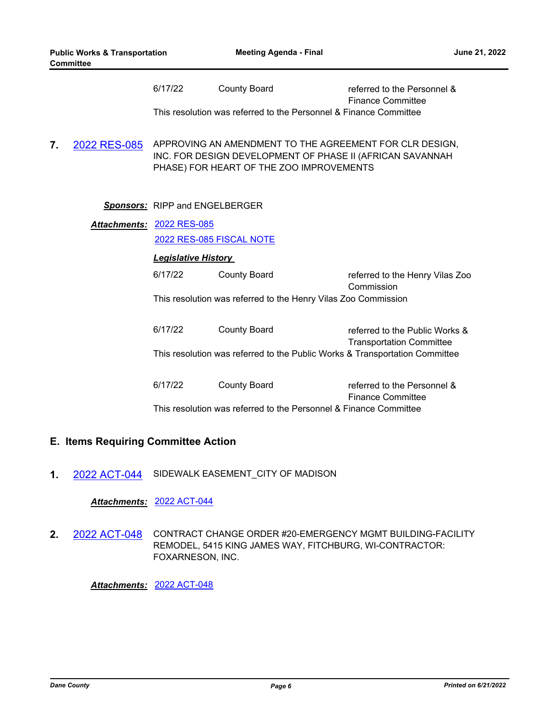|    |              | 6/17/22                                                                                                                                                          | <b>County Board</b> | referred to the Personnel &<br><b>Finance Committee</b> |  |  |
|----|--------------|------------------------------------------------------------------------------------------------------------------------------------------------------------------|---------------------|---------------------------------------------------------|--|--|
|    |              | This resolution was referred to the Personnel & Finance Committee                                                                                                |                     |                                                         |  |  |
| 7. | 2022 RES-085 | APPROVING AN AMENDMENT TO THE AGREEMENT FOR CLR DESIGN,<br>INC. FOR DESIGN DEVELOPMENT OF PHASE II (AFRICAN SAVANNAH<br>PHASE) FOR HEART OF THE ZOO IMPROVEMENTS |                     |                                                         |  |  |
|    |              | <b>Sponsors:</b> RIPP and ENGELBERGER                                                                                                                            |                     |                                                         |  |  |
|    |              | Attachments: 2022 RES-085                                                                                                                                        |                     |                                                         |  |  |
|    |              | 2022 RES-085 FISCAL NOTE                                                                                                                                         |                     |                                                         |  |  |
|    |              | <b>Legislative History</b>                                                                                                                                       |                     |                                                         |  |  |
|    |              | 6/17/22                                                                                                                                                          | <b>County Board</b> | referred to the Henry Vilas Zoo<br>Commission           |  |  |
|    |              | This resolution was referred to the Henry Vilas Zoo Commission                                                                                                   |                     |                                                         |  |  |
|    |              | 6/17/22                                                                                                                                                          | <b>County Board</b> | referred to the Public Works &                          |  |  |
|    |              | <b>Transportation Committee</b><br>This resolution was referred to the Public Works & Transportation Committee                                                   |                     |                                                         |  |  |
|    |              | 6/17/22                                                                                                                                                          | <b>County Board</b> | referred to the Personnel &<br><b>Finance Committee</b> |  |  |
|    |              | This resolution was referred to the Personnel & Finance Committee                                                                                                |                     |                                                         |  |  |

#### **E. Items Requiring Committee Action**

**1.** [2022 ACT-044](http://dane.legistar.com/gateway.aspx?m=l&id=/matter.aspx?key=23064) SIDEWALK EASEMENT\_CITY OF MADISON

*Attachments:* [2022 ACT-044](http://dane.legistar.com/gateway.aspx?M=F&ID=bc127d32-c0ba-49eb-af86-a88539cc89f5.pdf)

**2.** [2022 ACT-048](http://dane.legistar.com/gateway.aspx?m=l&id=/matter.aspx?key=23094) CONTRACT CHANGE ORDER #20-EMERGENCY MGMT BUILDING-FACILITY REMODEL, 5415 KING JAMES WAY, FITCHBURG, WI-CONTRACTOR: FOXARNESON, INC.

*Attachments:* [2022 ACT-048](http://dane.legistar.com/gateway.aspx?M=F&ID=a2298729-d05e-4fab-9ff9-306df3d5d008.pdf)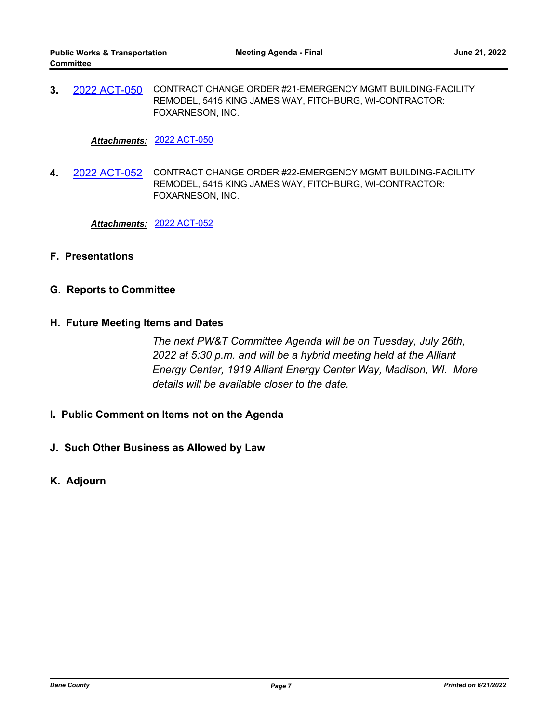**3.** [2022 ACT-050](http://dane.legistar.com/gateway.aspx?m=l&id=/matter.aspx?key=23096) CONTRACT CHANGE ORDER #21-EMERGENCY MGMT BUILDING-FACILITY REMODEL, 5415 KING JAMES WAY, FITCHBURG, WI-CONTRACTOR: FOXARNESON, INC.

*Attachments:* [2022 ACT-050](http://dane.legistar.com/gateway.aspx?M=F&ID=f51eab40-049f-4f46-a9a3-81604fcb418e.pdf)

**4.** [2022 ACT-052](http://dane.legistar.com/gateway.aspx?m=l&id=/matter.aspx?key=23097) CONTRACT CHANGE ORDER #22-EMERGENCY MGMT BUILDING-FACILITY REMODEL, 5415 KING JAMES WAY, FITCHBURG, WI-CONTRACTOR: FOXARNESON, INC.

*Attachments:* [2022 ACT-052](http://dane.legistar.com/gateway.aspx?M=F&ID=033ec6e6-2a6e-4baa-b9a6-f3f790e447df.pdf)

- **F. Presentations**
- **G. Reports to Committee**
- **H. Future Meeting Items and Dates**

*The next PW&T Committee Agenda will be on Tuesday, July 26th, 2022 at 5:30 p.m. and will be a hybrid meeting held at the Alliant Energy Center, 1919 Alliant Energy Center Way, Madison, WI. More details will be available closer to the date.*

- **I. Public Comment on Items not on the Agenda**
- **J. Such Other Business as Allowed by Law**
- **K. Adjourn**